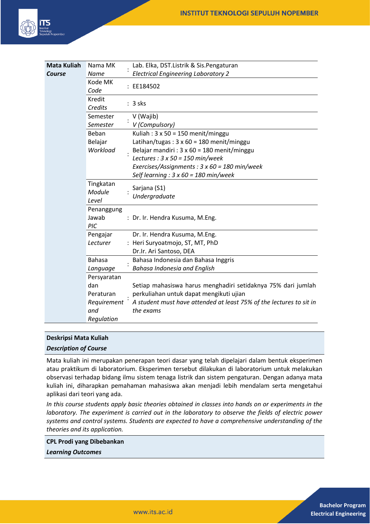

| <b>Mata Kuliah</b> | Nama MK                      | Lab. Elka, DST.Listrik & Sis.Pengaturan                                                              |
|--------------------|------------------------------|------------------------------------------------------------------------------------------------------|
| Course             | Name                         | <b>Electrical Engineering Laboratory 2</b>                                                           |
|                    | Kode MK<br>Code              | : EE184502                                                                                           |
|                    | Kredit<br>Credits            | $: 3$ sks                                                                                            |
|                    | Semester<br>Semester         | V (Wajib)<br>V (Compulsory)                                                                          |
|                    | Beban<br>Belajar             | Kuliah: $3 \times 50 = 150$ menit/minggu<br>Latihan/tugas: $3 \times 60 = 180$ menit/minggu          |
|                    | Workload                     | Belajar mandiri : $3 \times 60 = 180$ menit/minggu<br>Lectures : $3 \times 50 = 150$ min/week        |
|                    |                              | Exercises/Assignments : $3 \times 60 = 180$ min/week<br>Self learning : $3 \times 60 = 180$ min/week |
|                    | Tingkatan<br>Module<br>Level | Sarjana (S1)<br>Undergraduate                                                                        |
|                    | Penanggung<br>Jawab<br>PIC   | : Dr. Ir. Hendra Kusuma, M.Eng.                                                                      |
|                    | Pengajar                     | Dr. Ir. Hendra Kusuma, M.Eng.                                                                        |
|                    | Lecturer                     | : Heri Suryoatmojo, ST, MT, PhD                                                                      |
|                    |                              | Dr.Ir. Ari Santoso, DEA                                                                              |
|                    | <b>Bahasa</b>                | Bahasa Indonesia dan Bahasa Inggris                                                                  |
|                    | Language                     | <b>Bahasa Indonesia and English</b>                                                                  |
|                    | Persyaratan                  |                                                                                                      |
|                    | dan                          | Setiap mahasiswa harus menghadiri setidaknya 75% dari jumlah                                         |
|                    | Peraturan                    | perkuliahan untuk dapat mengikuti ujian                                                              |
|                    | Requirement<br>and           | A student must have attended at least 75% of the lectures to sit in<br>the exams                     |
|                    | Regulation                   |                                                                                                      |

# **Deskripsi Mata Kuliah**

### *Description of Course*

Mata kuliah ini merupakan penerapan teori dasar yang telah dipelajari dalam bentuk eksperimen atau praktikum di laboratorium. Eksperimen tersebut dilakukan di laboratorium untuk melakukan observasi terhadap bidang ilmu sistem tenaga listrik dan sistem pengaturan. Dengan adanya mata kuliah ini, diharapkan pemahaman mahasiswa akan menjadi lebih mendalam serta mengetahui aplikasi dari teori yang ada.

*In this course students apply basic theories obtained in classes into hands on or experiments in the laboratory. The experiment is carried out in the laboratory to observe the fields of electric power systems and control systems. Students are expected to have a comprehensive understanding of the theories and its application.*

#### **CPL Prodi yang Dibebankan**

*Learning Outcomes*

**Bachelor Program Electrical Engineering**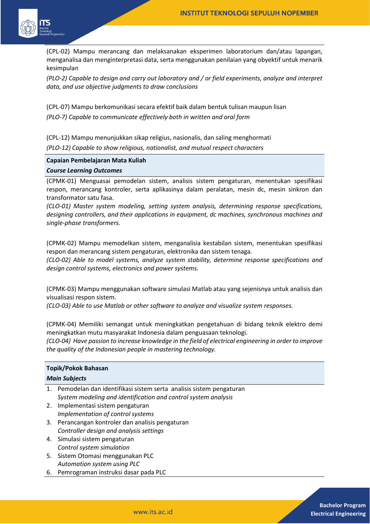

(CPL-02) Mampu merancang dan melaksanakan eksperimen laboratorium dan/atau lapangan, menganalisa dan menginterpretasi data, serta menggunakan penilaian yang obyektif untuk menarik kesimpulan

*(PLO-2) Capable to design and carry out laboratory and / or field experiments, analyze and interpret data, and use objective judgments to draw conclusions* 

(CPL-07) Mampu berkomunikasi secara efektif baik dalam bentuk tulisan maupun lisan *(PLO-7) Capable to communicate effectively both in written and oral form* 

(CPL-12) Mampu menunjukkan sikap religius, nasionalis, dan saling menghormati

*(PLO-12) Capable to show religious, nationalist, and mutual respect characters*

## **Capaian Pembelajaran Mata Kuliah**

### *Course Learning Outcomes*

(CPMK-01) Menguasai pemodelan sistem, analisis sistem pengaturan, menentukan spesifikasi respon, merancang kontroler, serta aplikasinya dalam peralatan, mesin dc, mesin sinkron dan transformator satu fasa.

*(CLO-01) Master system modeling, setting system analysis, determining response specifications, designing controllers, and their applications in equipment, dc machines, synchronous machines and single-phase transformers.*

(CPMK-02) Mampu memodelkan sistem, menganalisia kestabilan sistem, menentukan spesifikasi respon dan merancang sistem pengaturan, elektronika dan sistem tenaga.

*(CLO-02) Able to model systems, analyze system stability, determine response specifications and design control systems, electronics and power systems.*

(CPMK-03) Mampu menggunakan software simulasi Matlab atau yang sejenisnya untuk analisis dan visualisasi respon sistem.

*(CLO-03) Able to use Matlab or other software to analyze and visualize system responses.*

(CPMK-04) Memiliki semangat untuk meningkatkan pengetahuan di bidang teknik elektro demi meningkatkan mutu masyarakat Indonesia dalam penguasaan teknologi.

*(CLO-04) Have passion to increase knowledge in the field of electrical engineering in order to improve the quality of the Indonesian people in mastering technology.*

### **Topik/Pokok Bahasan**

## *Main Subjects*

- 1. Pemodelan dan identifikasi sistem serta analisis sistem pengaturan *System modeling and identification and control system analysis*
- 2. Implementasi sistem pengaturan *Implementation of control systems*
- 3. Perancangan kontroler dan analisis pengaturan *Controller design and analysis settings*
- 4. Simulasi sistem pengaturan *Control system simulation*
- 5. Sistem Otomasi menggunakan PLC *Automation system using PLC*
- 6. Pemrograman instruksi dasar pada PLC